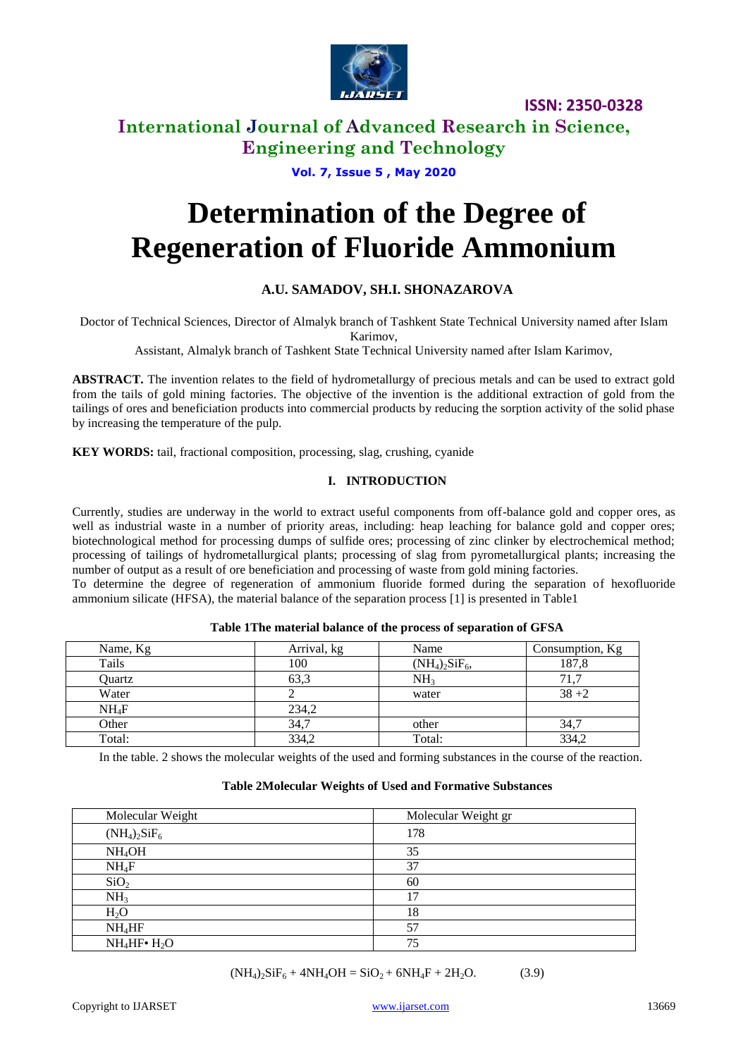

# **International Journal of Advanced Research in Science, Engineering and Technology**

### **Vol. 7, Issue 5 , May 2020**

# **Determination of the Degree of Regeneration of Fluoride Ammonium**

# **A.U. SAMADOV, SH.I. SHONAZAROVA**

Doctor of Technical Sciences, Director of Almalyk branch of Tashkent State Technical University named after Islam Karimov,

Assistant, Almalyk branch of Tashkent State Technical University named after Islam Karimov,

**ABSTRACT.** The invention relates to the field of hydrometallurgy of precious metals and can be used to extract gold from the tails of gold mining factories. The objective of the invention is the additional extraction of gold from the tailings of ores and beneficiation products into commercial products by reducing the sorption activity of the solid phase by increasing the temperature of the pulp.

**KEY WORDS:** tail, fractional composition, processing, slag, crushing, cyanide

### **I. INTRODUCTION**

Currently, studies are underway in the world to extract useful components from off-balance gold and copper ores, as well as industrial waste in a number of priority areas, including: heap leaching for balance gold and copper ores; biotechnological method for processing dumps of sulfide ores; processing of zinc clinker by electrochemical method; processing of tailings of hydrometallurgical plants; processing of slag from pyrometallurgical plants; increasing the number of output as a result of ore beneficiation and processing of waste from gold mining factories.

To determine the degree of regeneration of ammonium fluoride formed during the separation of hexofluoride ammonium silicate (HFSA), the material balance of the separation process [1] is presented in Table1

| Name, Kg | Arrival, kg | Name              | Consumption, Kg |
|----------|-------------|-------------------|-----------------|
| Tails    | 100         | $(NH_4)_2SiF_6$ , | 187,8           |
| Quartz   | 63,3        | NH <sub>3</sub>   | 71.7            |
| Water    |             | water             | $38 + 2$        |
| $NH_4F$  | 234,2       |                   |                 |
| Other    | 34,7        | other             | 34,7            |
| Total:   | 334,2       | Total:            | 334,2           |

### **Table 1The material balance of the process of separation of GFSA**

In the table. 2 shows the molecular weights of the used and forming substances in the course of the reaction.

### **Table 2Molecular Weights of Used and Formative Substances**

| Molecular Weight     | Molecular Weight gr |
|----------------------|---------------------|
| $(NH_4)_2SiF_6$      | 178                 |
| NH <sub>4</sub> OH   | 35                  |
| $NH_4F$              | 37                  |
| SiO <sub>2</sub>     | 60                  |
| NH <sub>3</sub>      | 17                  |
| $H_2O$               | 18                  |
| NH <sub>4</sub> HF   | 57                  |
| $NH_4HF\bullet H_2O$ | 75                  |

 $(NH_4)_2$ SiF<sub>6</sub> + 4NH<sub>4</sub>OH = SiO<sub>2</sub> + 6NH<sub>4</sub>F + 2H<sub>2</sub>O. (3.9)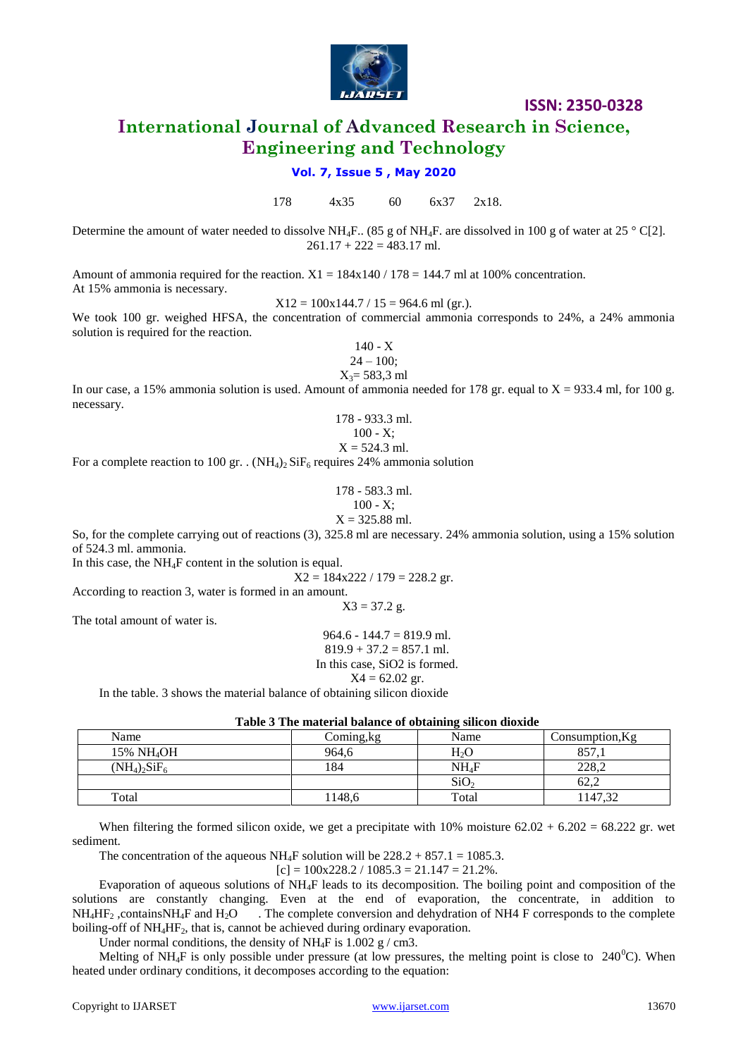

# **International Journal of Advanced Research in Science, Engineering and Technology**

### **Vol. 7, Issue 5 , May 2020**

178 4х35 60 6х37 2х18.

Determine the amount of water needed to dissolve NH<sub>4</sub>F.. (85 g of NH<sub>4</sub>F. are dissolved in 100 g of water at 25 ° C[2].  $261.17 + 222 = 483.17$  ml.

Amount of ammonia required for the reaction.  $X1 = 184x140 / 178 = 144.7$  ml at 100% concentration. At 15% ammonia is necessary.

 $X12 = 100x144.7 / 15 = 964.6$  ml (gr.).

We took 100 gr. weighed HFSA, the concentration of commercial ammonia corresponds to 24%, a 24% ammonia solution is required for the reaction.

> 140 - Х  $24 - 100$ ;  $X_3 = 583.3$  ml

In our case, a 15% ammonia solution is used. Amount of ammonia needed for 178 gr. equal to  $X = 933.4$  ml, for 100 g. necessary.

> 178 - 933.3 ml.  $100 - X$ ;  $X = 524.3$  ml.

For a complete reaction to 100 gr. . (NH<sub>4</sub>)<sub>2</sub> SiF<sub>6</sub> requires 24% ammonia solution

178 - 583.3 ml.  $100 - X$ ;  $X = 325.88$  ml.

So, for the complete carrying out of reactions (3), 325.8 ml are necessary. 24% ammonia solution, using a 15% solution of 524.3 ml. ammonia.

In this case, the  $NH<sub>4</sub>F$  content in the solution is equal.

 $X2 = 184x222 / 179 = 228.2$  gr.

According to reaction 3, water is formed in an amount.

 $X3 = 37.2$  g.

The total amount of water is.

 $964.6 - 144.7 = 819.9$  ml.  $819.9 + 37.2 = 857.1$  ml. In this case, SiO2 is formed.  $X4 = 62.02$  gr.

In the table. 3 shows the material balance of obtaining silicon dioxide

|                        |            | -                 |                 |
|------------------------|------------|-------------------|-----------------|
| Name                   | Coming, kg | Name              | Consumption, Kg |
| 15% NH <sub>4</sub> OH | 964,6      | H <sub>2</sub> O  | 857,            |
| $(NH_4)_2SiF_6$        | 184        | NH <sub>4</sub> F | 228,2           |
|                        |            | SiO <sub>2</sub>  | 62.2            |
| Total                  | 1148,6     | Total             | 1147,32         |

**Table 3 The material balance of obtaining silicon dioxide**

When filtering the formed silicon oxide, we get a precipitate with  $10\%$  moisture  $62.02 + 6.202 = 68.222$  gr. wet sediment.

The concentration of the aqueous NH<sub>4</sub>F solution will be  $228.2 + 857.1 = 1085.3$ .

 $[c] = 100x228.2 / 1085.3 = 21.147 = 21.2\%$ .

Evaporation of aqueous solutions of NH4F leads to its decomposition. The boiling point and composition of the solutions are constantly changing. Even at the end of evaporation, the concentrate, in addition to  $NH_4HF_2$ , contains NH<sub>4</sub>F and H<sub>2</sub>O . The complete conversion and dehydration of NH4 F corresponds to the complete boiling-off of NH<sub>4</sub>HF<sub>2</sub>, that is, cannot be achieved during ordinary evaporation.

Under normal conditions, the density of NH<sub>4</sub>F is  $1.002$  g / cm3.

Melting of NH<sub>4</sub>F is only possible under pressure (at low pressures, the melting point is close to  $240^{\circ}$ C). When heated under ordinary conditions, it decomposes according to the equation: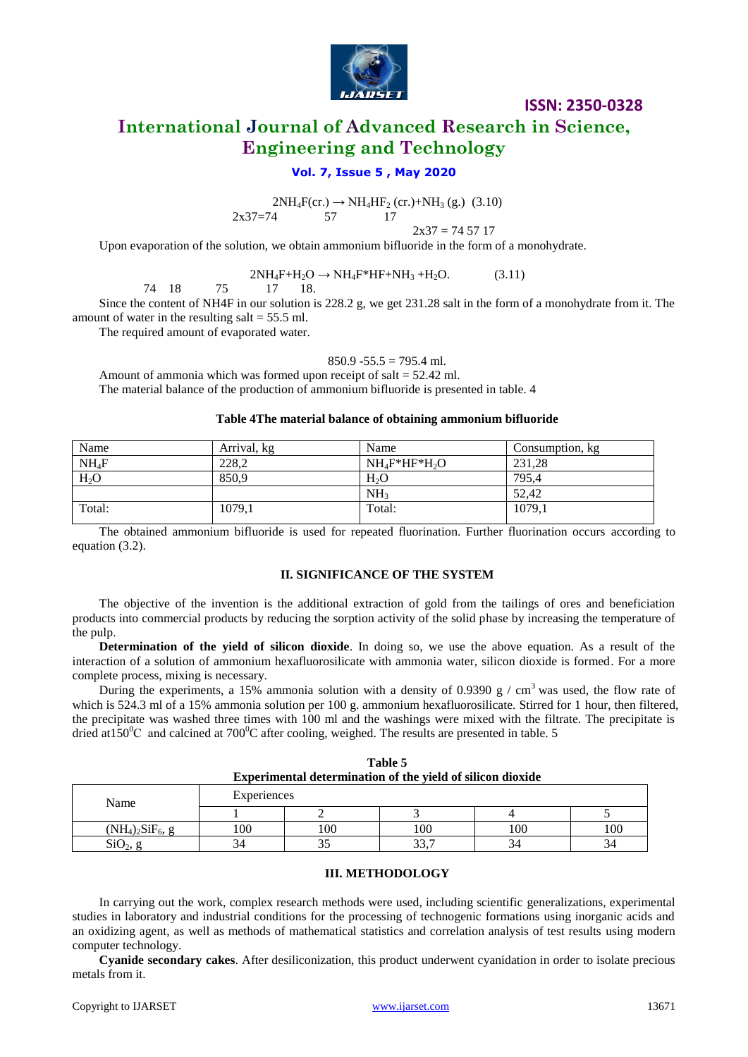

# **International Journal of Advanced Research in Science, Engineering and Technology**

### **Vol. 7, Issue 5 , May 2020**

 $2NH_4F$ (cr.)  $\rightarrow NH_4HF_2$  (cr.)+NH<sub>3</sub> (g.) (3.10)<br>4 57 17 2х37=74 57 17

 $2x37 = 745717$ 

Upon evaporation of the solution, we obtain ammonium bifluoride in the form of a monohydrate.

# $2NH_4F+H_2O \rightarrow NH_4F*HF+NH_3+H_2O.$  (3.11)

$$
74 \quad 18 \qquad \quad 75 \qquad \quad 17 \qquad 18.
$$

Since the content of NH4F in our solution is 228.2 g, we get 231.28 salt in the form of a monohydrate from it. The amount of water in the resulting salt  $= 55.5$  ml.

The required amount of evaporated water.

### $850.9 - 55.5 = 795.4$  ml.

Amount of ammonia which was formed upon receipt of salt = 52.42 ml. The material balance of the production of ammonium bifluoride is presented in table. 4

### **Table 4The material balance of obtaining ammonium bifluoride**

| Name             | Arrival, kg | Name              | Consumption, kg |
|------------------|-------------|-------------------|-----------------|
| $NH_4F$          | 228.2       | $NH_4F^*HF^*H_2O$ | 231.28          |
| H <sub>2</sub> O | 850,9       | $H_2O$            | 795.4           |
|                  |             | NH <sub>3</sub>   | 52,42           |
| Total:           | 1079,1      | Total:            | 1079,1          |

The obtained ammonium bifluoride is used for repeated fluorination. Further fluorination occurs according to equation (3.2).

### **II. SIGNIFICANCE OF THE SYSTEM**

The objective of the invention is the additional extraction of gold from the tailings of ores and beneficiation products into commercial products by reducing the sorption activity of the solid phase by increasing the temperature of the pulp.

**Determination of the yield of silicon dioxide**. In doing so, we use the above equation. As a result of the interaction of a solution of ammonium hexafluorosilicate with ammonia water, silicon dioxide is formed. For a more complete process, mixing is necessary.

During the experiments, a 15% ammonia solution with a density of 0.9390 g / cm<sup>3</sup> was used, the flow rate of which is 524.3 ml of a 15% ammonia solution per 100 g. ammonium hexafluorosilicate. Stirred for 1 hour, then filtered, the precipitate was washed three times with 100 ml and the washings were mixed with the filtrate. The precipitate is dried at  $150^{\circ}$ C and calcined at  $700^{\circ}$ C after cooling, weighed. The results are presented in table. 5

| Table 5                                                    |
|------------------------------------------------------------|
| Experimental determination of the yield of silicon dioxide |

| Name                | Experiences |     |          |     |     |
|---------------------|-------------|-----|----------|-----|-----|
|                     |             | -   |          |     |     |
| $(NH_4)_2SiF_6$ , g | 100         | 100 | 100      | 100 | 100 |
| SiO <sub>2</sub>    |             | ر ر | 227<br>. | 34  | ەد  |

### **III. METHODOLOGY**

In carrying out the work, complex research methods were used, including scientific generalizations, experimental studies in laboratory and industrial conditions for the processing of technogenic formations using inorganic acids and an oxidizing agent, as well as methods of mathematical statistics and correlation analysis of test results using modern computer technology.

**Cyanide secondary cakes**. After desiliconization, this product underwent cyanidation in order to isolate precious metals from it.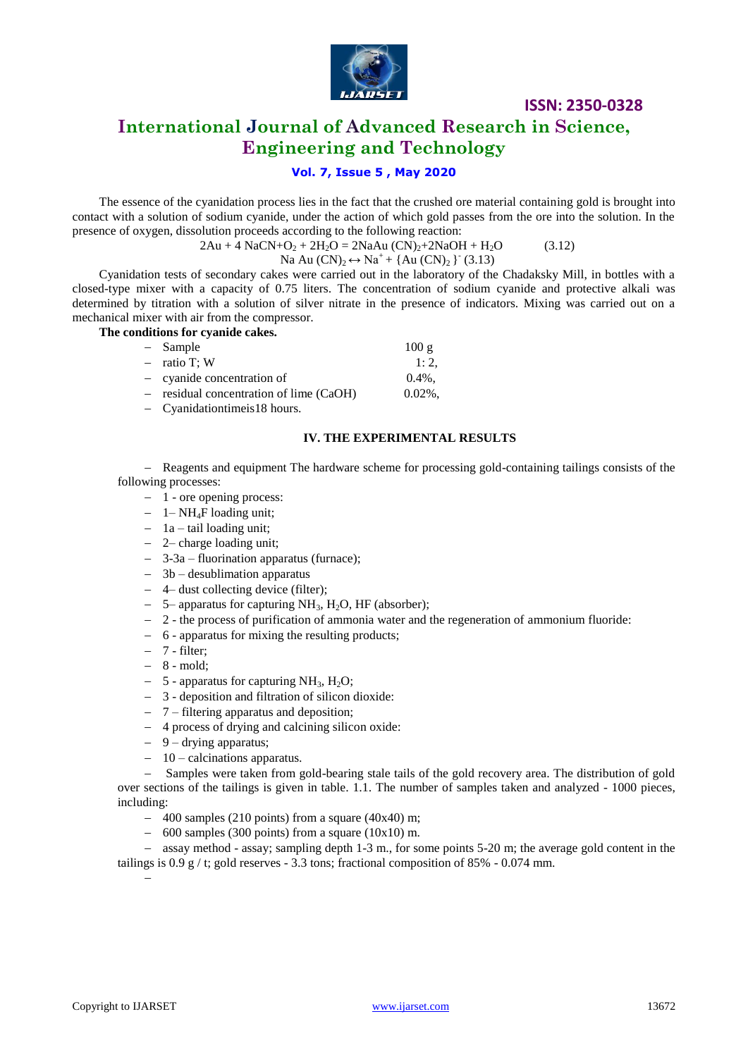

# **International Journal of Advanced Research in Science, Engineering and Technology**

# **Vol. 7, Issue 5 , May 2020**

The essence of the cyanidation process lies in the fact that the crushed ore material containing gold is brought into contact with a solution of sodium cyanide, under the action of which gold passes from the ore into the solution. In the presence of oxygen, dissolution proceeds according to the following reaction:

 $2Au + 4NaCN + O_2 + 2H_2O = 2NaAu (CN)<sub>2</sub>+2NaOH + H_2O$  (3.12)

Na Au  $(CN)_2 \leftrightarrow Na^+ + \{Au (CN)_2\}$ <sup>-</sup> (3.13)

Cyanidation tests of secondary cakes were carried out in the laboratory of the Chadaksky Mill, in bottles with a closed-type mixer with a capacity of 0.75 liters. The concentration of sodium cyanide and protective alkali was determined by titration with a solution of silver nitrate in the presence of indicators. Mixing was carried out on a mechanical mixer with air from the compressor.

**The conditions for cyanide cakes.**

| - Sample                              | 100g       |
|---------------------------------------|------------|
| $-$ ratio T; W                        | 1:2.       |
| $-$ cyanide concentration of          | $0.4\%$ .  |
| residual concentration of lime (CaOH) | $0.02\%$ . |
| Cyanidationtimeis 18 hours.           |            |

### **IV. THE EXPERIMENTAL RESULTS**

- Reagents and equipment The hardware scheme for processing gold-containing tailings consists of the following processes:

- 1 ore opening process:
- 1– NH4F loading unit;
- $-$  1a tail loading unit;
- 2– charge loading unit;
- 3-3a fluorination apparatus (furnace);
- $-$  3b desublimation apparatus
- 4– dust collecting device (filter);
- $-$  5– apparatus for capturing NH<sub>3</sub>, H<sub>2</sub>O, HF (absorber);
- 2 the process of purification of ammonia water and the regeneration of ammonium fluoride:
- 6 apparatus for mixing the resulting products;
- $-7$  filter;
- $-8$  mold;
- $-$  5 apparatus for capturing NH<sub>3</sub>, H<sub>2</sub>O;
- 3 deposition and filtration of silicon dioxide:
- 7 filtering apparatus and deposition;
- 4 process of drying and calcining silicon oxide:
- $-9$  drying apparatus;
- $-10$  calcinations apparatus.

 Samples were taken from gold-bearing stale tails of the gold recovery area. The distribution of gold over sections of the tailings is given in table. 1.1. The number of samples taken and analyzed - 1000 pieces, including:

- $-$  400 samples (210 points) from a square (40x40) m;
- $-$  600 samples (300 points) from a square (10x10) m.

- assay method - assay; sampling depth 1-3 m., for some points 5-20 m; the average gold content in the tailings is  $0.9 \text{ g} / \text{t}$ ; gold reserves - 3.3 tons; fractional composition of 85% - 0.074 mm.

 $\overline{a}$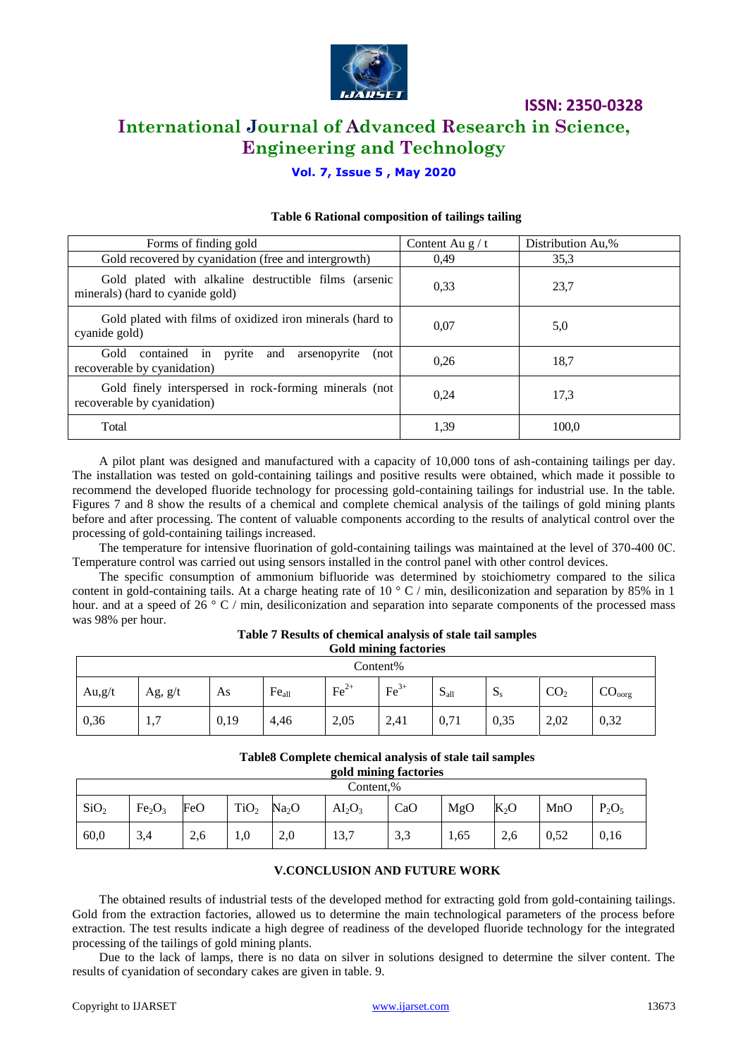

# **International Journal of Advanced Research in Science, Engineering and Technology**

# **Vol. 7, Issue 5 , May 2020**

| Forms of finding gold                                                                     | Content Au $g/t$ | Distribution Au,% |
|-------------------------------------------------------------------------------------------|------------------|-------------------|
| Gold recovered by cyanidation (free and intergrowth)                                      | 0.49             | 35,3              |
| Gold plated with alkaline destructible films (arsenic<br>minerals) (hard to cyanide gold) | 0.33             | 23,7              |
| Gold plated with films of oxidized iron minerals (hard to<br>cyanide gold)                | 0,07             | 5,0               |
| Gold<br>contained in pyrite and arsenopyrite<br>(not<br>recoverable by cyanidation)       | 0.26             | 18,7              |
| Gold finely interspersed in rock-forming minerals (not)<br>recoverable by cyanidation)    | 0.24             | 17.3              |
| Total                                                                                     | 1,39             | 100.0             |

### **Table 6 Rational composition of tailings tailing**

A pilot plant was designed and manufactured with a capacity of 10,000 tons of ash-containing tailings per day. The installation was tested on gold-containing tailings and positive results were obtained, which made it possible to recommend the developed fluoride technology for processing gold-containing tailings for industrial use. In the table. Figures 7 and 8 show the results of a chemical and complete chemical analysis of the tailings of gold mining plants before and after processing. The content of valuable components according to the results of analytical control over the processing of gold-containing tailings increased.

The temperature for intensive fluorination of gold-containing tailings was maintained at the level of 370-400 0C. Temperature control was carried out using sensors installed in the control panel with other control devices.

The specific consumption of ammonium bifluoride was determined by stoichiometry compared to the silica content in gold-containing tails. At a charge heating rate of 10  $\degree$  C / min, desiliconization and separation by 85% in 1 hour. and at a speed of 26  $\degree$  C / min, desiliconization and separation into separate components of the processed mass was 98% per hour.

|           | GOIG mining factories |      |                   |                  |        |                |         |                 |                    |
|-----------|-----------------------|------|-------------------|------------------|--------|----------------|---------|-----------------|--------------------|
|           | $Content\%$           |      |                   |                  |        |                |         |                 |                    |
| Au, $g/t$ | Ag, $g/t$             | As   | Fe <sub>all</sub> | $\text{Fe}^{2+}$ | $Fe3+$ | C<br>$S_{all}$ | $S_{s}$ | CO <sub>2</sub> | CO <sub>oorg</sub> |
| 0,36      | $\overline{ }$<br>1,1 | 0,19 | 4,46              | 2,05             | 2,41   | 0,71           | 0,35    | 2,02            | 0,32               |

#### **Table 7 Results of chemical analysis of stale tail samples Gold mining factories**

### **Table8 Complete chemical analysis of stale tail samples**

**gold mining factories**

|                  | Content,%                      |     |                  |                   |                                |                 |      |               |      |          |
|------------------|--------------------------------|-----|------------------|-------------------|--------------------------------|-----------------|------|---------------|------|----------|
| SiO <sub>2</sub> | Fe <sub>2</sub> O <sub>3</sub> | FeO | TiO <sub>2</sub> | Na <sub>2</sub> O | AI <sub>2</sub> O <sub>3</sub> | CaO             | MgO  | $K_2O$        | MnO  | $P_2O_5$ |
| 60,0             | 3,4                            | 2,6 | 1,0              | 2,0               | 13,7                           | $\Omega$<br>3,3 | 1,65 | $\sim$<br>2,0 | 0,52 | 0,16     |

### **V.CONCLUSION AND FUTURE WORK**

The obtained results of industrial tests of the developed method for extracting gold from gold-containing tailings. Gold from the extraction factories, allowed us to determine the main technological parameters of the process before extraction. The test results indicate a high degree of readiness of the developed fluoride technology for the integrated processing of the tailings of gold mining plants.

Due to the lack of lamps, there is no data on silver in solutions designed to determine the silver content. The results of cyanidation of secondary cakes are given in table. 9.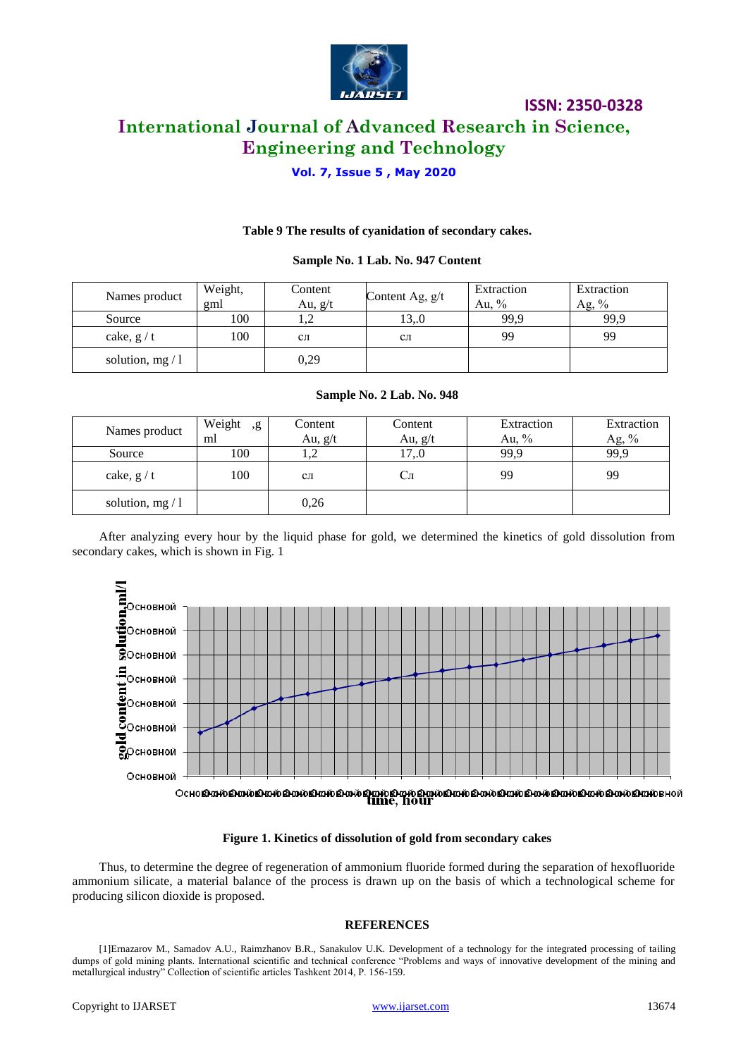

# **International Journal of Advanced Research in Science, Engineering and Technology**

**ISSN: 2350-0328**

### **Vol. 7, Issue 5 , May 2020**

#### **Table 9 The results of cyanidation of secondary cakes.**

#### **Sample No. 1 Lab. No. 947 Content**

| Names product    | Weight,<br>gml | Content<br>Au, $g/t$ | Content Ag, $g/t$ | Extraction<br>Au. $%$ | Extraction<br>Ag, $%$ |
|------------------|----------------|----------------------|-------------------|-----------------------|-----------------------|
| Source           | 100            | ⊥.∠                  | 13.0              | 99.9                  | 99,9                  |
| cake, $g/t$      | 100            | $c_{\text{II}}$      | $c_{\Pi}$         | 99                    | 99                    |
| solution, $mg/1$ |                | 0,29                 |                   |                       |                       |

#### **Sample No. 2 Lab. No. 948**

| Names product    | Weight<br>, g<br>ml | Content<br>Au, $g/t$ | Content<br>Au, $g/t$ | Extraction<br>Au, $\%$ | Extraction<br>Ag, $\%$ |
|------------------|---------------------|----------------------|----------------------|------------------------|------------------------|
| Source           | 100                 | 1,4                  | 17.0                 | 99.9                   | 99,9                   |
| cake, $g/t$      | 100                 | CЛ                   | ĊЛ                   | 99                     | 99                     |
| solution, $mg/1$ |                     | 0,26                 |                      |                        |                        |

After analyzing every hour by the liquid phase for gold, we determined the kinetics of gold dissolution from secondary cakes, which is shown in Fig. 1



#### **Figure 1. Kinetics of dissolution of gold from secondary cakes**

Thus, to determine the degree of regeneration of ammonium fluoride formed during the separation of hexofluoride ammonium silicate, a material balance of the process is drawn up on the basis of which a technological scheme for producing silicon dioxide is proposed.

#### **REFERENCES**

[1]Ernazarov M., Samadov A.U., Raimzhanov B.R., Sanakulov U.K. Development of a technology for the integrated processing of tailing dumps of gold mining plants. International scientific and technical conference "Problems and ways of innovative development of the mining and metallurgical industry" Collection of scientific articles Tashkent 2014, P. 156-159.